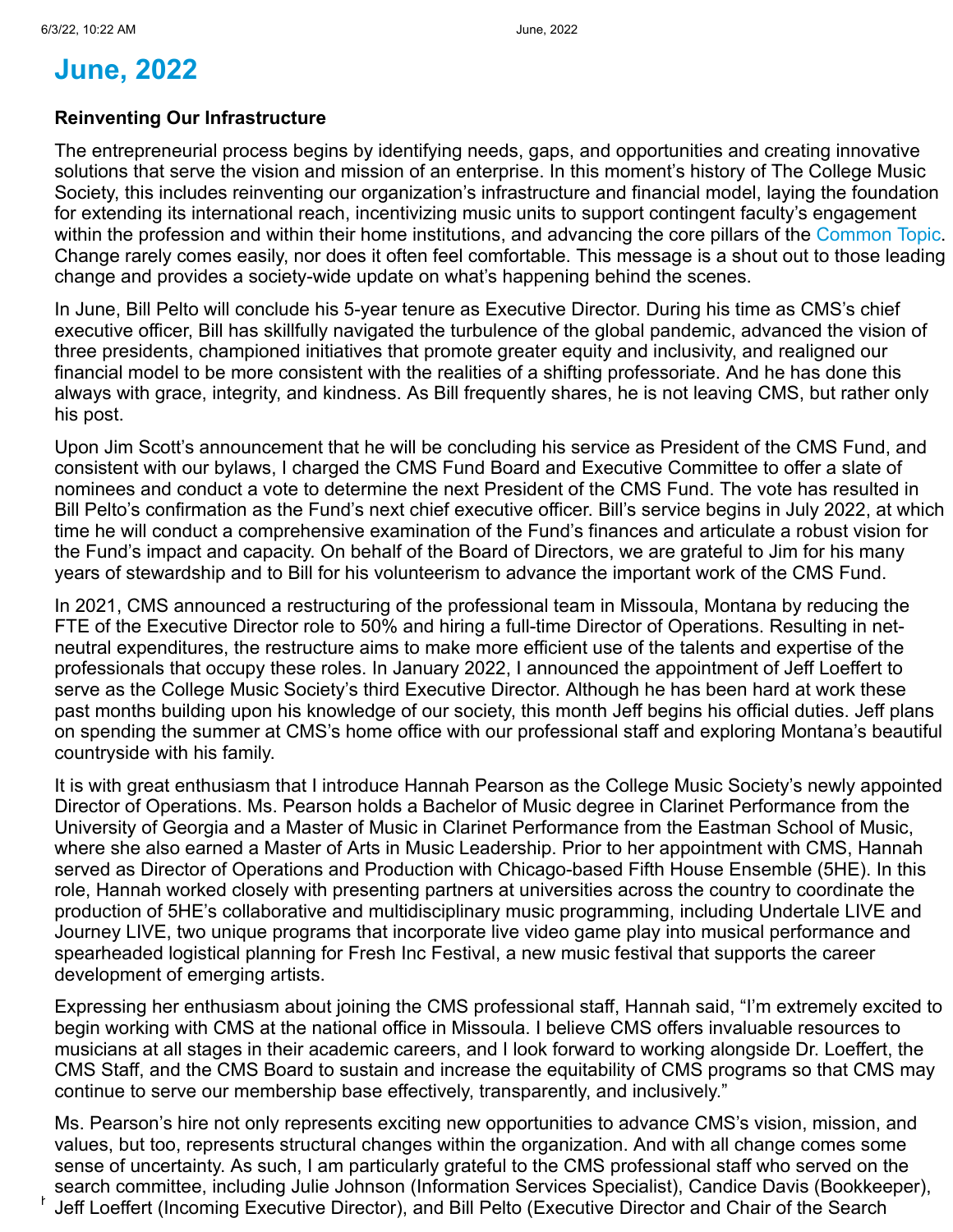## **June, 2022**

## **Reinventing Our Infrastructure**

The entrepreneurial process begins by identifying needs, gaps, and opportunities and creating innovative solutions that serve the vision and mission of an enterprise. In this moment's history of The College Music Society, this includes reinventing our organization's infrastructure and financial model, laying the foundation for extending its international reach, incentivizing music units to support contingent faculty's engagement within the profession and within their home institutions, and advancing the core pillars of the [Common Topic.](https://www.music.org/index.php?option=com_content&view=article&id=2814&Itemid=3433) Change rarely comes easily, nor does it often feel comfortable. This message is a shout out to those leading change and provides a society-wide update on what's happening behind the scenes.

In June, Bill Pelto will conclude his 5-year tenure as Executive Director. During his time as CMS's chief executive officer, Bill has skillfully navigated the turbulence of the global pandemic, advanced the vision of three presidents, championed initiatives that promote greater equity and inclusivity, and realigned our financial model to be more consistent with the realities of a shifting professoriate. And he has done this always with grace, integrity, and kindness. As Bill frequently shares, he is not leaving CMS, but rather only his post.

Upon Jim Scott's announcement that he will be concluding his service as President of the CMS Fund, and consistent with our bylaws, I charged the CMS Fund Board and Executive Committee to offer a slate of nominees and conduct a vote to determine the next President of the CMS Fund. The vote has resulted in Bill Pelto's confirmation as the Fund's next chief executive officer. Bill's service begins in July 2022, at which time he will conduct a comprehensive examination of the Fund's finances and articulate a robust vision for the Fund's impact and capacity. On behalf of the Board of Directors, we are grateful to Jim for his many years of stewardship and to Bill for his volunteerism to advance the important work of the CMS Fund.

In 2021, CMS announced a restructuring of the professional team in Missoula, Montana by reducing the FTE of the Executive Director role to 50% and hiring a full-time Director of Operations. Resulting in netneutral expenditures, the restructure aims to make more efficient use of the talents and expertise of the professionals that occupy these roles. In January 2022, I announced the appointment of Jeff Loeffert to serve as the College Music Society's third Executive Director. Although he has been hard at work these past months building upon his knowledge of our society, this month Jeff begins his official duties. Jeff plans on spending the summer at CMS's home office with our professional staff and exploring Montana's beautiful countryside with his family.

It is with great enthusiasm that I introduce Hannah Pearson as the College Music Society's newly appointed Director of Operations. Ms. Pearson holds a Bachelor of Music degree in Clarinet Performance from the University of Georgia and a Master of Music in Clarinet Performance from the Eastman School of Music, where she also earned a Master of Arts in Music Leadership. Prior to her appointment with CMS, Hannah served as Director of Operations and Production with Chicago-based Fifth House Ensemble (5HE). In this role, Hannah worked closely with presenting partners at universities across the country to coordinate the production of 5HE's collaborative and multidisciplinary music programming, including Undertale LIVE and Journey LIVE, two unique programs that incorporate live video game play into musical performance and spearheaded logistical planning for Fresh Inc Festival, a new music festival that supports the career development of emerging artists.

Expressing her enthusiasm about joining the CMS professional staff, Hannah said, "I'm extremely excited to begin working with CMS at the national office in Missoula. I believe CMS offers invaluable resources to musicians at all stages in their academic careers, and I look forward to working alongside Dr. Loeffert, the CMS Staff, and the CMS Board to sustain and increase the equitability of CMS programs so that CMS may continue to serve our membership base effectively, transparently, and inclusively."

 $^\mathsf{t}\,$  Jeff Loeffert (Incoming Executive Director), and Bill Pelto (Executive Director and Chair of the Search  $^\mathsf{t}\,$ Ms. Pearson's hire not only represents exciting new opportunities to advance CMS's vision, mission, and values, but too, represents structural changes within the organization. And with all change comes some sense of uncertainty. As such, I am particularly grateful to the CMS professional staff who served on the search committee, including Julie Johnson (Information Services Specialist), Candice Davis (Bookkeeper),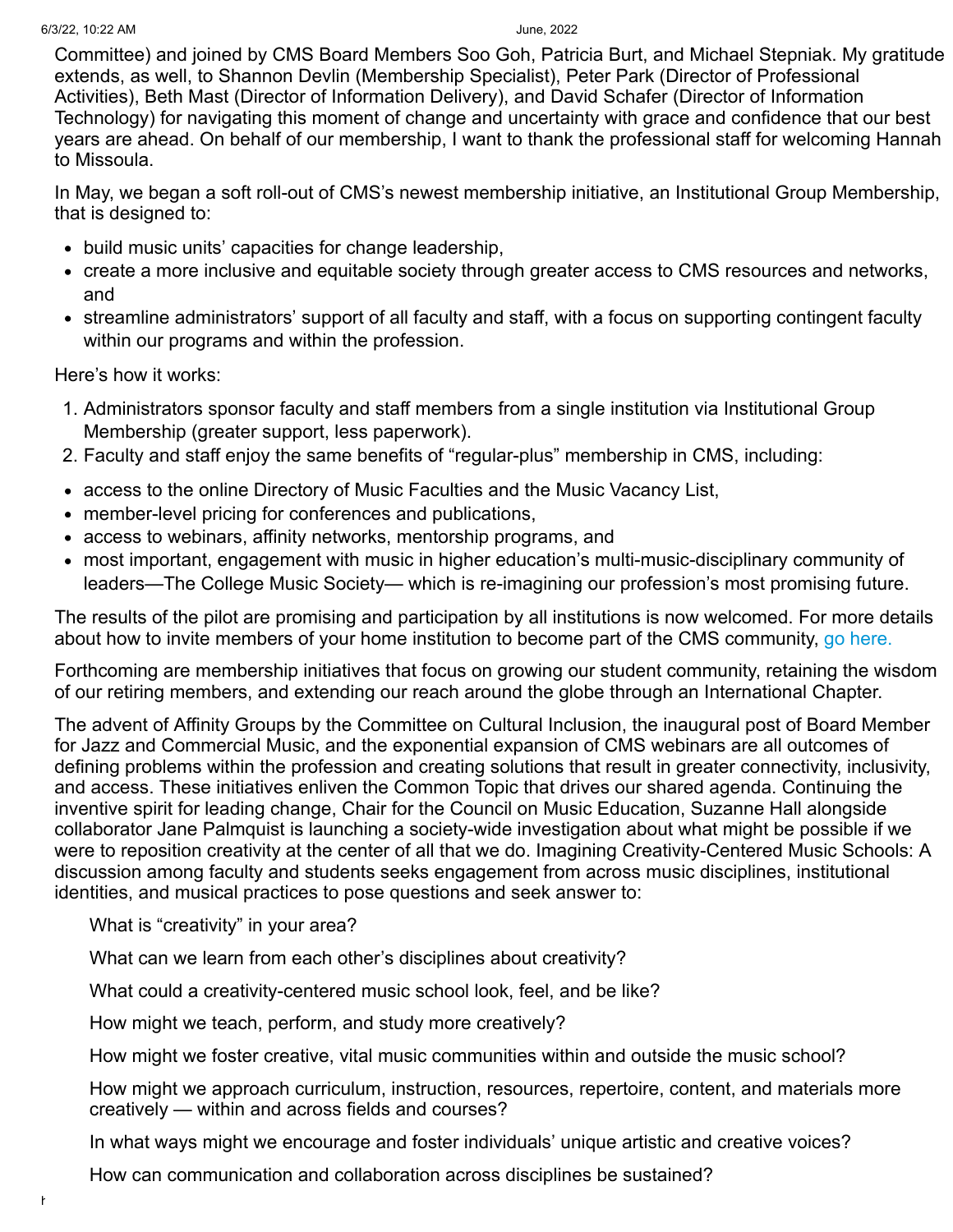Committee) and joined by CMS Board Members Soo Goh, Patricia Burt, and Michael Stepniak. My gratitude extends, as well, to Shannon Devlin (Membership Specialist), Peter Park (Director of Professional Activities), Beth Mast (Director of Information Delivery), and David Schafer (Director of Information Technology) for navigating this moment of change and uncertainty with grace and confidence that our best years are ahead. On behalf of our membership, I want to thank the professional staff for welcoming Hannah to Missoula.

In May, we began a soft roll-out of CMS's newest membership initiative, an Institutional Group Membership, that is designed to:

- build music units' capacities for change leadership,
- create a more inclusive and equitable society through greater access to CMS resources and networks, and
- streamline administrators' support of all faculty and staff, with a focus on supporting contingent faculty within our programs and within the profession.

Here's how it works:

- 1. Administrators sponsor faculty and staff members from a single institution via Institutional Group Membership (greater support, less paperwork).
- 2. Faculty and staff enjoy the same benefits of "regular-plus" membership in CMS, including:
- access to the online Directory of Music Faculties and the Music Vacancy List,
- member-level pricing for conferences and publications,
- access to webinars, affinity networks, mentorship programs, and
- most important, engagement with music in higher education's multi-music-disciplinary community of leaders—The College Music Society— which is re-imagining our profession's most promising future.

The results of the pilot are promising and participation by all institutions is now welcomed. For more details about how to invite members of your home institution to become part of the CMS community, [go here.](https://www.music.org/index.php?option=com_osmembership&view=plan&id=17&Itemid=6090)

Forthcoming are membership initiatives that focus on growing our student community, retaining the wisdom of our retiring members, and extending our reach around the globe through an International Chapter.

The advent of Affinity Groups by the Committee on Cultural Inclusion, the inaugural post of Board Member for Jazz and Commercial Music, and the exponential expansion of CMS webinars are all outcomes of defining problems within the profession and creating solutions that result in greater connectivity, inclusivity, and access. These initiatives enliven the Common Topic that drives our shared agenda. Continuing the inventive spirit for leading change, Chair for the Council on Music Education, Suzanne Hall alongside collaborator Jane Palmquist is launching a society-wide investigation about what might be possible if we were to reposition creativity at the center of all that we do. Imagining Creativity-Centered Music Schools: A discussion among faculty and students seeks engagement from across music disciplines, institutional identities, and musical practices to pose questions and seek answer to:

What is "creativity" in your area?

What can we learn from each other's disciplines about creativity?

What could a creativity-centered music school look, feel, and be like?

How might we teach, perform, and study more creatively?

How might we foster creative, vital music communities within and outside the music school?

How might we approach curriculum, instruction, resources, repertoire, content, and materials more creatively — within and across fields and courses?

In what ways might we encourage and foster individuals' unique artistic and creative voices?

How can communication and collaboration across disciplines be sustained?